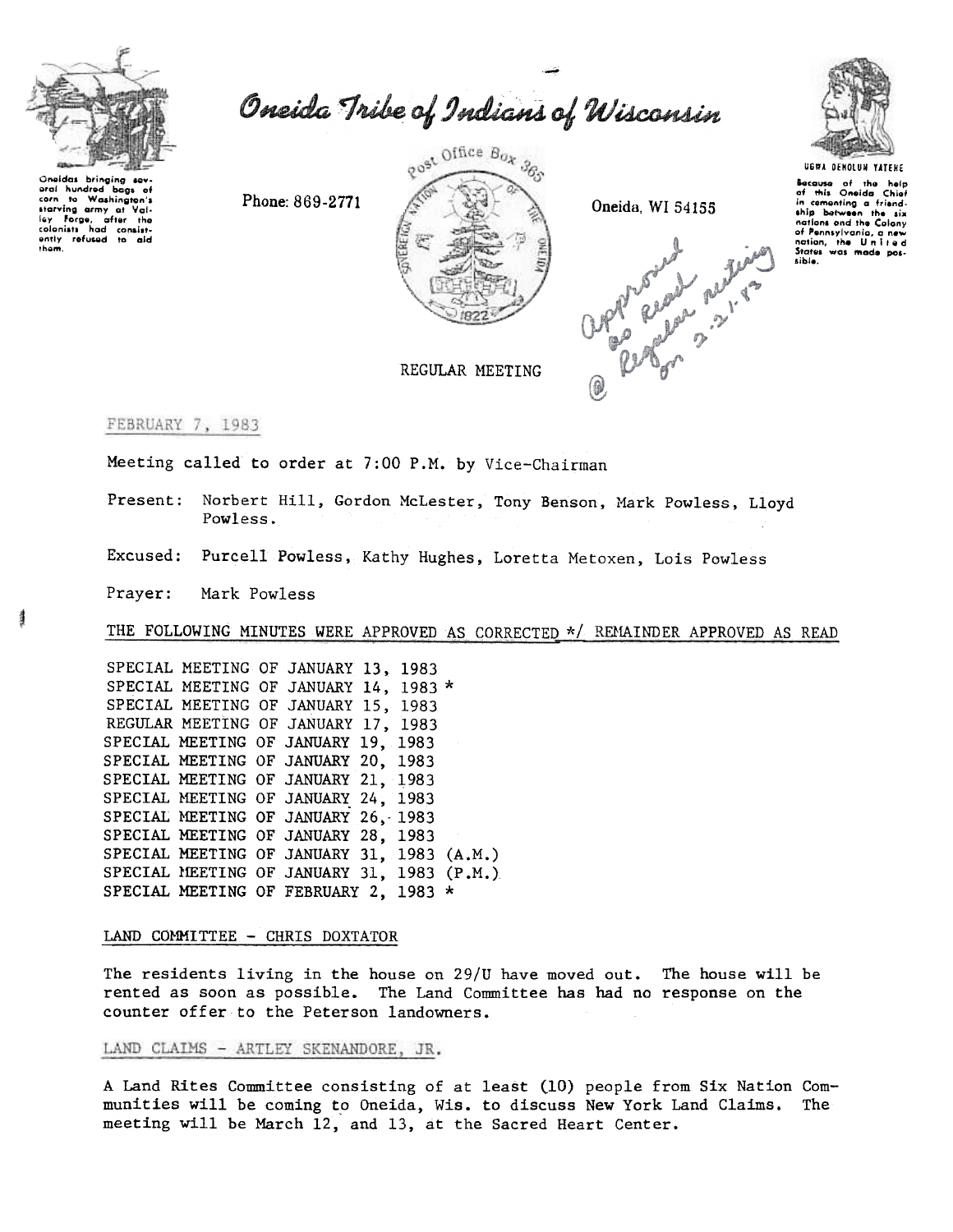

Oneida Tribe of Indians of Wisconsin

Oneidas bringing sev<br>erai hundred bags o bags of corn to Washington's starving army at Val-<br>ley Forge, after the<br>colonists had consistcolonists had consist-<br>ently refused to ald<br>them.

Phone: 869-2771



Oneida, WI 54155





UGWA DENOLUN YATEHE Because of the help<br>of this Oneida Chief<br>in cementing a friend-<br>ship between the six nations and the Colony of Pennsylvania, a new<br>nation, the United i i e d sible.

REGULAR MEETING

## FEBRUARY 7, 1983

Meeting called to order at 7:00 P.M. by Vice-Chairman

Norbert Hill, Gordon McLester, Tony Benson, Mark Powless, Lloyd Present: Powless.

Excused: Purcell Powless, Kathy Hughes, Loretta Metoxen, Lois Powless

Prayer: Mark Powless

THE FOLLOWING MINUTES WERE APPROVED AS CORRECTED \*/ REMAINDER APPROVED AS READ

SPECIAL MEETING OF JANUARY 13, 1983 SPECIAL MEETING OF JANUARY 14, 1983 \* SPECIAL MEETING OF JANUARY 15, 1983 REGULAR MEETING OF JANUARY 17, 1983 SPECIAL MEETING OF JANUARY 19, 1983 SPECIAL MEETING OF JANUARY 20, 1983 SPECIAL MEETING OF JANUARY 21, 1983 SPECIAL MEETING OF JANUARY 24, 1983 SPECIAL MEETING OF JANUARY 26, 1983 SPECIAL MEETING OF JANUARY 28, 1983 SPECIAL MEETING OF JANUARY 31, 1983 (A.M.) SPECIAL MEETING OF JANUARY 31, 1983 (P.M.) SPECIAL MEETING OF FEBRUARY 2, 1983 \*

#### LAND COMMITTEE - CHRIS DOXTATOR

The residents living in the house on 29/U have moved out. The house will be rented as soon as possible. The Land Committee has had no response on the counter offer to the Peterson landowners.

### LAND CLAIMS - ARTLEY SKENANDORE, JR.

A Land Rites Committee consisting of at least (10) people from Six Nation Communities will be coming to Oneida, Wis. to discuss New York Land Claims. The meeting will be March 12, and 13, at the Sacred Heart Center.